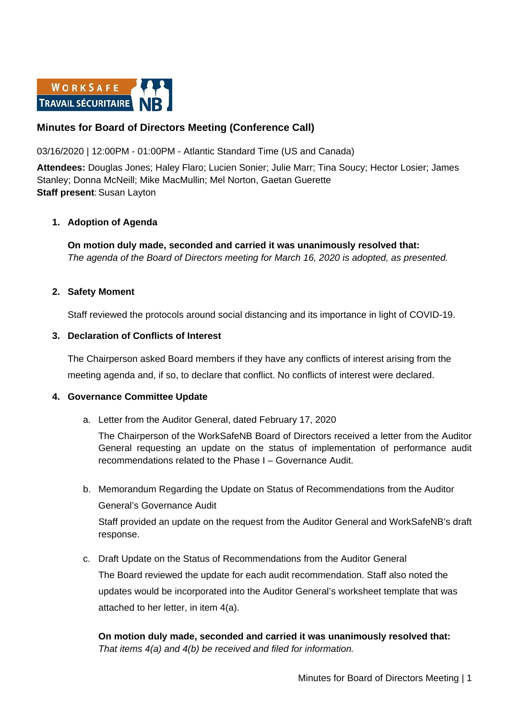

# **Minutes for Board of Directors Meeting (Conference Call)**

### 03/16/2020 | 12:00PM - 01:00PM - Atlantic Standard Time (US and Canada)

**Attendees:** Douglas Jones; Haley Flaro; Lucien Sonier; Julie Marr; Tina Soucy; Hector Losier; James Stanley; Donna McNeill; Mike MacMullin; Mel Norton, Gaetan Guerette **Staff present: Susan Layton** 

#### **1. Adoption of Agenda**

**On motion duly made, seconded and carried it was unanimously resolved that:** *The agenda of the Board of Directors meeting for March 16, 2020 is adopted, as presented.*

#### **2. Safety Moment**

Staff reviewed the protocols around social distancing and its importance in light of COVID-19.

#### **3. Declaration of Conflicts of Interest**

The Chairperson asked Board members if they have any conflicts of interest arising from the meeting agenda and, if so, to declare that conflict. No conflicts of interest were declared.

#### **4. Governance Committee Update**

a. Letter from the Auditor General, dated February 17, 2020

The Chairperson of the WorkSafeNB Board of Directors received a letter from the Auditor General requesting an update on the status of implementation of performance audit recommendations related to the Phase I – Governance Audit.

b. Memorandum Regarding the Update on Status of Recommendations from the Auditor General's Governance Audit

Staff provided an update on the request from the Auditor General and WorkSafeNB's draft response.

c. Draft Update on the Status of Recommendations from the Auditor General The Board reviewed the update for each audit recommendation. Staff also noted the updates would be incorporated into the Auditor General's worksheet template that was attached to her letter, in item 4(a).

**On motion duly made, seconded and carried it was unanimously resolved that:** *That items 4(a) and 4(b) be received and filed for information.*